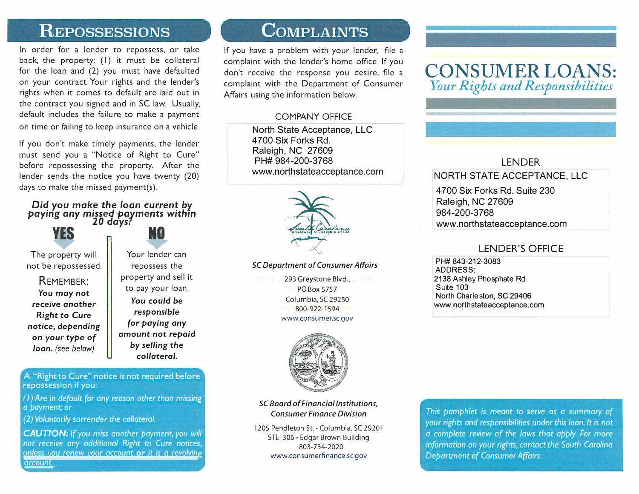## **REPOSSESSIONS**

In order for a lender to repossess, or take back, the property: (1) it must be collateral for the loan and (2) you must have defaulted on your contract. Your rights and the lender's rights when it comes to default are laid out in the contract you signed and in SC law. Usually, default includes the failure to make a payment on time or failing to keep insurance on a vehicle.

If you don't make timely payments, the lender must send you a "Notice of Right to Cure" before repossessing the property. After the lender sends the notice you have twenty (20) days to make the missed payment(s).

#### *Did you make the loan current by paying any missed pavments with,n 20 days?*

The property will not be repossessed.

REMEMBER: *You may* **not**  *receive* **another**  *Right* **to** *Cure*  **notice,** *depending*  **on your** *type* **of**  *loan.* (see *below)* 

**YES n NO** 

Your lender can repossess the property and sell it to pay your loan. **You** *could be responsible for paying any*  **amount not** *repaid by selling the collateral.* 

A "Right to Cure" notice is not required before repossession if you:

*(I) Are in default for any* reason *other than missing a payment; or*

*(2) Voluntarily surrender the collateral.*

*CAUTION: If you miss another payment, you will not receive any additional Right to Cure notices, unless vou renew vour account or it is a revolving account.* 

# **COMPLAINTS**

If you have a problem with your lender, file a complaint with the lender's home office. If you don't receive the response you desire, file a complaint with the Department of Consumer Affairs using the information below.

## COMPANY OFFICE

North State Acceptance, LLC 4700 Six Forks Rd. Raleigh, NC 27609 www.northstateacceptance.com PH# 984-200-3768



#### *SC Department of Consumer Affairs*

293 Greystone Blvd., PO Box 5757 Columbia, SC 29250 800-922-1594 www.consumer.sc.gov



*SC Board of Financial Institutions, Consumer Finance Division* 

1205 Pendleton St.· Columbia, SC 29201 STE. 306 • Edgar Brown Building 803-734-2020 www.consumerfinance.sc.gov

# CONSUMER LOANS: *Your Rights and Responsibilities*

## LENDER

## NORTH STATE ACCEPTANCE, LLC

4700 Six Forks Rd. Suite 230 Raleigh, NC 27609 984-200-3768 www.northstateacceptance.com

## LENDER'S OFFICE

PH# 843-212-3083 ADDRESS: 2138 Ashley Phosphate Rd. Suite 103 www .northstateacceptance.com North Charleston, SC 29406

*This pamphlet is meant to serve as a summary* of *your rights and responsibilities under this loan. It is not a complete review* of *the laws that apply. For more information* on *your rights, contact the South Carolina Department* of *Consumer Affairs .*